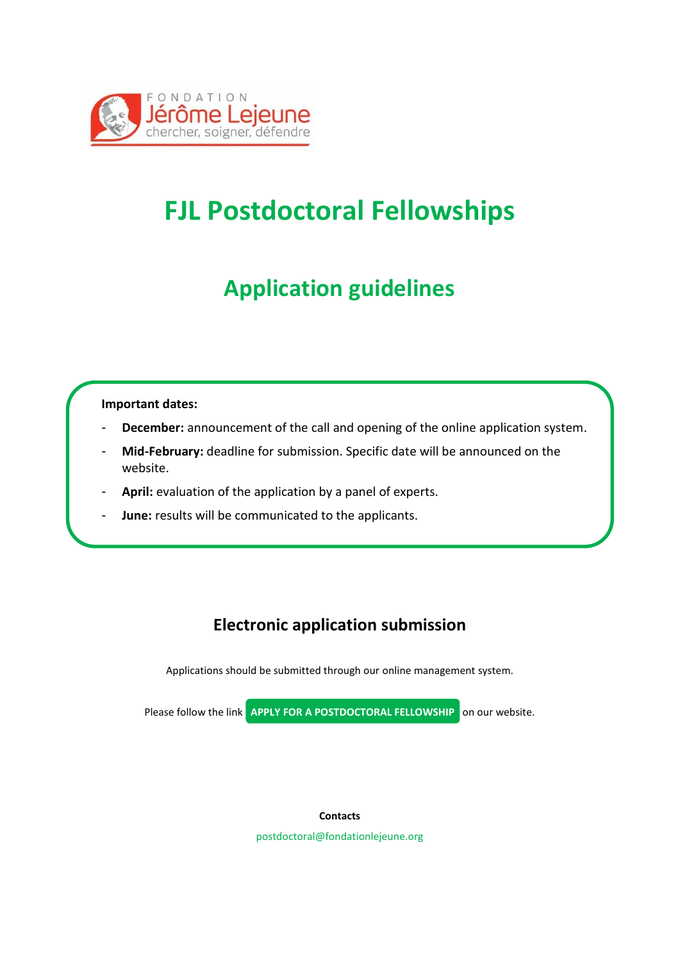

# **FJL Postdoctoral Fellowships**

### **Application guidelines**

### **Important dates:**

- December: announcement of the call and opening of the online application system.
- **Mid-February:** deadline for submission. Specific date will be announced on the website.
- April: evaluation of the application by a panel of experts.
- **June:** results will be communicated to the applicants.

### **Electronic application submission**

Applications should be submitted through our online management system.

Please follow the link **APPLY FOR A POSTDOCTORAL FELLOWSHIP** on our website.

#### **Contacts**

postdoctoral@fondationlejeune.org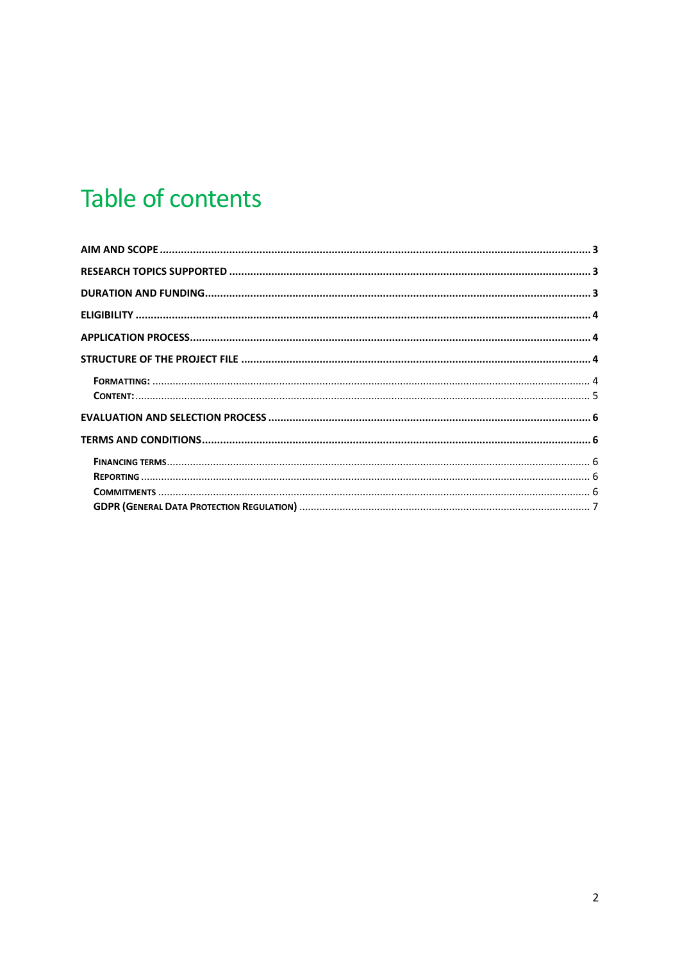# Table of contents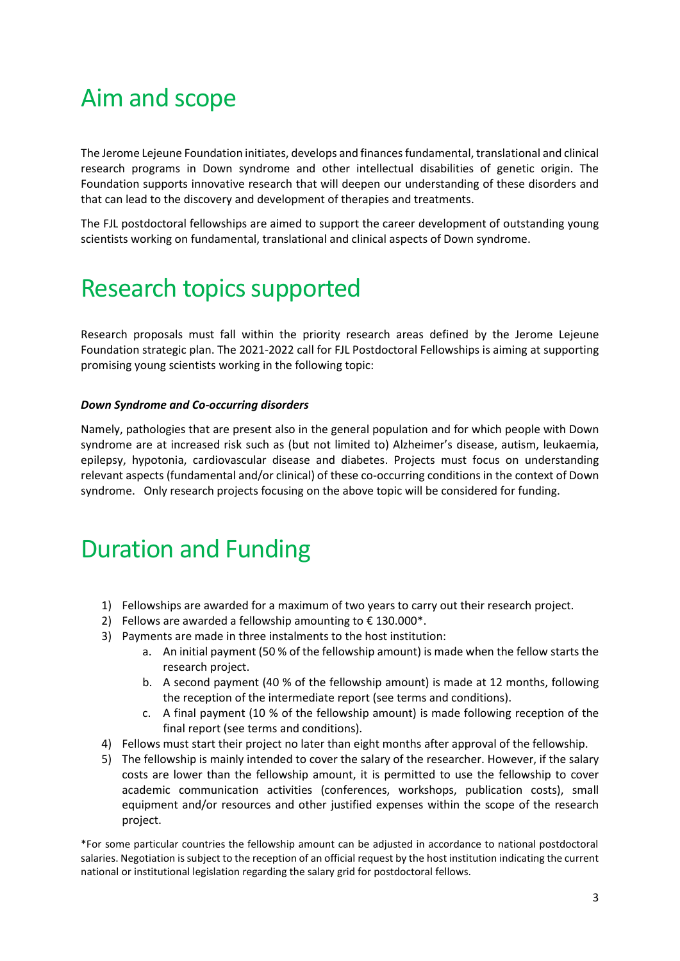# <span id="page-2-0"></span>Aim and scope

The Jerome Lejeune Foundation initiates, develops and finances fundamental, translational and clinical research programs in Down syndrome and other intellectual disabilities of genetic origin. The Foundation supports innovative research that will deepen our understanding of these disorders and that can lead to the discovery and development of therapies and treatments.

The FJL postdoctoral fellowships are aimed to support the career development of outstanding young scientists working on fundamental, translational and clinical aspects of Down syndrome.

### <span id="page-2-1"></span>Research topics supported

Research proposals must fall within the priority research areas defined by the Jerome Lejeune Foundation strategic plan. The 2021-2022 call for FJL Postdoctoral Fellowships is aiming at supporting promising young scientists working in the following topic:

### *Down Syndrome and Co-occurring disorders*

Namely, pathologies that are present also in the general population and for which people with Down syndrome are at increased risk such as (but not limited to) Alzheimer's disease, autism, leukaemia, epilepsy, hypotonia, cardiovascular disease and diabetes. Projects must focus on understanding relevant aspects (fundamental and/or clinical) of these co-occurring conditions in the context of Down syndrome. Only research projects focusing on the above topic will be considered for funding.

## <span id="page-2-2"></span>Duration and Funding

- 1) Fellowships are awarded for a maximum of two years to carry out their research project.
- 2) Fellows are awarded a fellowship amounting to  $\epsilon$  130.000\*.
- 3) Payments are made in three instalments to the host institution:
	- a. An initial payment (50 % of the fellowship amount) is made when the fellow starts the research project.
	- b. A second payment (40 % of the fellowship amount) is made at 12 months, following the reception of the intermediate report (see terms and conditions).
	- c. A final payment (10 % of the fellowship amount) is made following reception of the final report (see terms and conditions).
- 4) Fellows must start their project no later than eight months after approval of the fellowship.
- 5) The fellowship is mainly intended to cover the salary of the researcher. However, if the salary costs are lower than the fellowship amount, it is permitted to use the fellowship to cover academic communication activities (conferences, workshops, publication costs), small equipment and/or resources and other justified expenses within the scope of the research project.

\*For some particular countries the fellowship amount can be adjusted in accordance to national postdoctoral salaries. Negotiation is subject to the reception of an official request by the host institution indicating the current national or institutional legislation regarding the salary grid for postdoctoral fellows.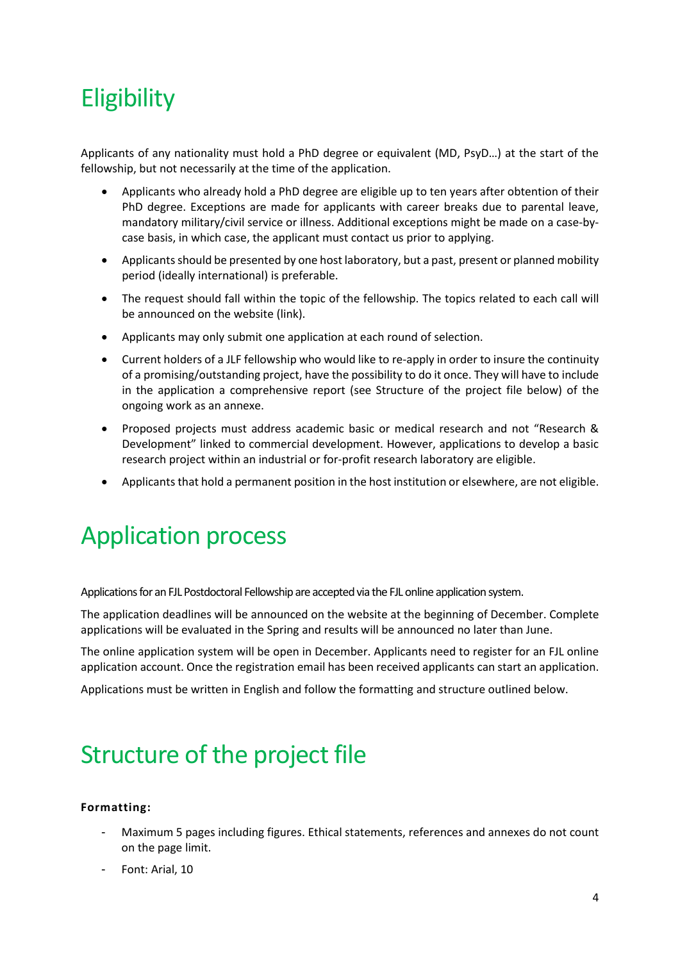# <span id="page-3-0"></span>**Eligibility**

Applicants of any nationality must hold a PhD degree or equivalent (MD, PsyD…) at the start of the fellowship, but not necessarily at the time of the application.

- Applicants who already hold a PhD degree are eligible up to ten years after obtention of their PhD degree. Exceptions are made for applicants with career breaks due to parental leave, mandatory military/civil service or illness. Additional exceptions might be made on a case-bycase basis, in which case, the applicant must contact us prior to applying.
- Applicants should be presented by one host laboratory, but a past, present or planned mobility period (ideally international) is preferable.
- The request should fall within the topic of the fellowship. The topics related to each call will be announced on the website (link).
- Applicants may only submit one application at each round of selection.
- Current holders of a JLF fellowship who would like to re-apply in order to insure the continuity of a promising/outstanding project, have the possibility to do it once. They will have to include in the application a comprehensive report (see Structure of the project file below) of the ongoing work as an annexe.
- Proposed projects must address academic basic or medical research and not "Research & Development" linked to commercial development. However, applications to develop a basic research project within an industrial or for-profit research laboratory are eligible.
- Applicants that hold a permanent position in the host institution or elsewhere, are not eligible.

# <span id="page-3-1"></span>Application process

Applications for an FJL Postdoctoral Fellowship are accepted via the FJL online application system.

The application deadlines will be announced on the website at the beginning of December. Complete applications will be evaluated in the Spring and results will be announced no later than June.

The online application system will be open in December. Applicants need to register for an FJL online application account. Once the registration email has been received applicants can start an application.

<span id="page-3-2"></span>Applications must be written in English and follow the formatting and structure outlined below.

# Structure of the project file

### <span id="page-3-3"></span>**Formatting:**

- Maximum 5 pages including figures. Ethical statements, references and annexes do not count on the page limit.
- Font: Arial, 10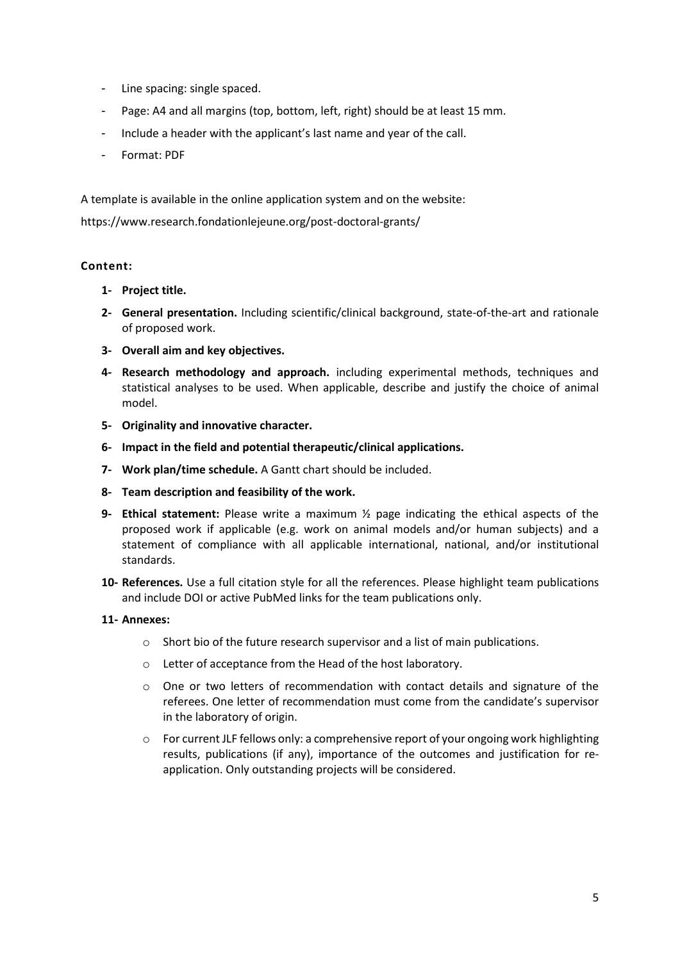- Line spacing: single spaced.
- Page: A4 and all margins (top, bottom, left, right) should be at least 15 mm.
- Include a header with the applicant's last name and year of the call.
- Format: PDF

A template is available in the online application system and on the website:

https://www.research.fondationlejeune.org/post-doctoral-grants/

### <span id="page-4-0"></span>**Content:**

- **1- Project title.**
- **2- General presentation.** Including scientific/clinical background, state-of-the-art and rationale of proposed work.
- **3- Overall aim and key objectives.**
- **4- Research methodology and approach.** including experimental methods, techniques and statistical analyses to be used. When applicable, describe and justify the choice of animal model.
- **5- Originality and innovative character.**
- **6- Impact in the field and potential therapeutic/clinical applications.**
- **7- Work plan/time schedule.** A Gantt chart should be included.
- **8- Team description and feasibility of the work.**
- **9- Ethical statement:** Please write a maximum ½ page indicating the ethical aspects of the proposed work if applicable (e.g. work on animal models and/or human subjects) and a statement of compliance with all applicable international, national, and/or institutional standards.
- **10- References.** Use a full citation style for all the references. Please highlight team publications and include DOI or active PubMed links for the team publications only.

### **11- Annexes:**

- o Short bio of the future research supervisor and a list of main publications.
- o Letter of acceptance from the Head of the host laboratory.
- o One or two letters of recommendation with contact details and signature of the referees. One letter of recommendation must come from the candidate's supervisor in the laboratory of origin.
- <span id="page-4-1"></span> $\circ$  For current JLF fellows only: a comprehensive report of your ongoing work highlighting results, publications (if any), importance of the outcomes and justification for reapplication. Only outstanding projects will be considered.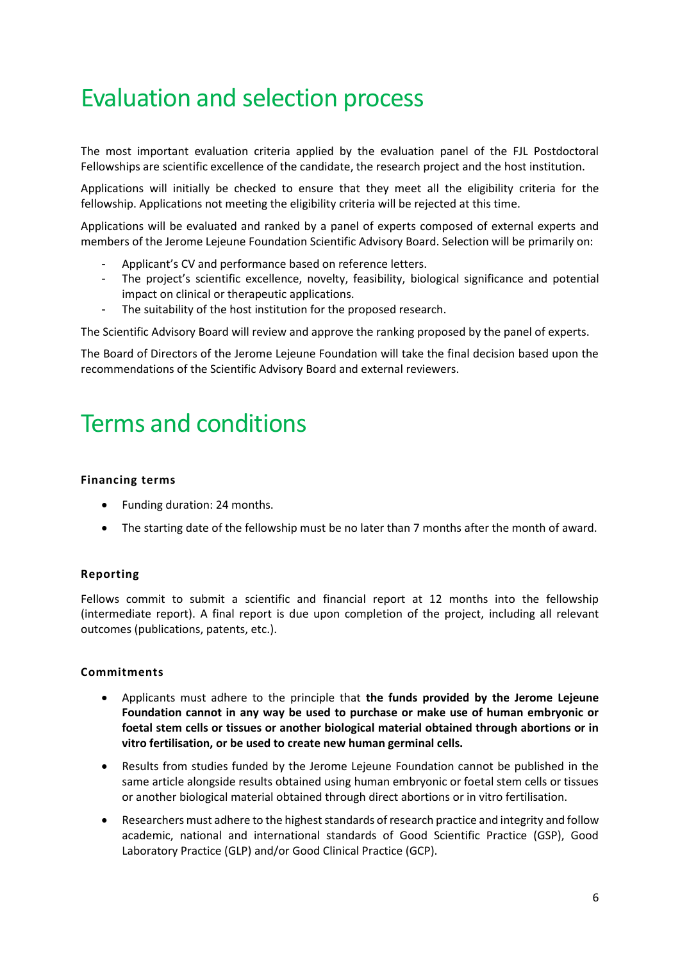# Evaluation and selection process

The most important evaluation criteria applied by the evaluation panel of the FJL Postdoctoral Fellowships are scientific excellence of the candidate, the research project and the host institution.

Applications will initially be checked to ensure that they meet all the eligibility criteria for the fellowship. Applications not meeting the eligibility criteria will be rejected at this time.

Applications will be evaluated and ranked by a panel of experts composed of external experts and members of the Jerome Lejeune Foundation Scientific Advisory Board. Selection will be primarily on:

- Applicant's CV and performance based on reference letters.
- The project's scientific excellence, novelty, feasibility, biological significance and potential impact on clinical or therapeutic applications.
- The suitability of the host institution for the proposed research.

The Scientific Advisory Board will review and approve the ranking proposed by the panel of experts.

The Board of Directors of the Jerome Lejeune Foundation will take the final decision based upon the recommendations of the Scientific Advisory Board and external reviewers.

### <span id="page-5-0"></span>Terms and conditions

#### <span id="page-5-1"></span>**Financing terms**

- Funding duration: 24 months.
- The starting date of the fellowship must be no later than 7 months after the month of award.

#### <span id="page-5-2"></span>**Reporting**

Fellows commit to submit a scientific and financial report at 12 months into the fellowship (intermediate report). A final report is due upon completion of the project, including all relevant outcomes (publications, patents, etc.).

### <span id="page-5-3"></span>**Commitments**

- Applicants must adhere to the principle that **the funds provided by the Jerome Lejeune Foundation cannot in any way be used to purchase or make use of human embryonic or foetal stem cells or tissues or another biological material obtained through abortions or in vitro fertilisation, or be used to create new human germinal cells.**
- Results from studies funded by the Jerome Lejeune Foundation cannot be published in the same article alongside results obtained using human embryonic or foetal stem cells or tissues or another biological material obtained through direct abortions or in vitro fertilisation.
- Researchers must adhere to the highest standards of research practice and integrity and follow academic, national and international standards of Good Scientific Practice (GSP), Good Laboratory Practice (GLP) and/or Good Clinical Practice (GCP).